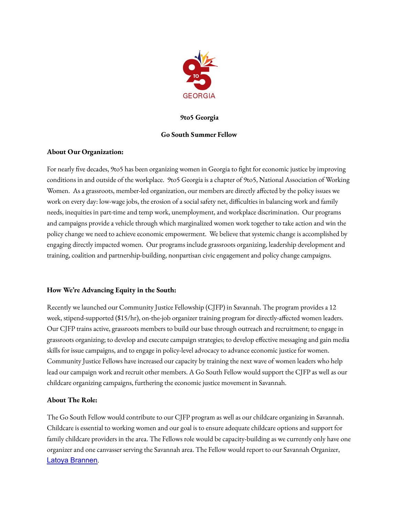

#### **9to5 Georgia**

#### **Go South Summer Fellow**

#### **About Our Organization:**

For nearly five decades, 9to5 has been organizing women in Georgia to fight for economic justice by improving conditions in and outside of the workplace. 9to5 Georgia is a chapter of 9to5, National Association of Working Women. As a grassroots, member-led organization, our members are directly affected by the policy issues we work on every day: low-wage jobs, the erosion of a social safety net, difficulties in balancing work and family needs, inequities in part-time and temp work, unemployment, and workplace discrimination. Our programs and campaigns provide a vehicle through which marginalized women work together to take action and win the policy change we need to achieve economic empowerment. We believe that systemic change is accomplished by engaging directly impacted women. Our programs include grassroots organizing, leadership development and training, coalition and partnership-building, nonpartisan civic engagement and policy change campaigns.

# **How We're Advancing Equity in the South:**

Recently we launched our Community Justice Fellowship (CJFP) in Savannah. The program provides a 12 week, stipend-supported (\$15/hr), on-the-job organizer training program for directly-affected women leaders. Our CJFP trains active, grassroots members to build our base through outreach and recruitment; to engage in grassroots organizing; to develop and execute campaign strategies; to develop effective messaging and gain media skills for issue campaigns, and to engage in policy-level advocacy to advance economic justice for women. Community Justice Fellows have increased our capacity by training the next wave of women leaders who help lead our campaign work and recruit other members. A Go South Fellow would support the CJFP as well as our childcare organizing campaigns, furthering the economic justice movement in Savannah.

# **About The Role:**

The Go South Fellow would contribute to our CJFP program as well as our childcare organizing in Savannah. Childcare is essential to working women and our goal is to ensure adequate childcare options and support for family childcare providers in the area. The Fellows role would be capacity-building as we currently only have one organizer and one canvasser serving the Savannah area. The Fellow would report to our Savannah Organizer, Latoya [Brannen](mailto:latoya@9to5.org).